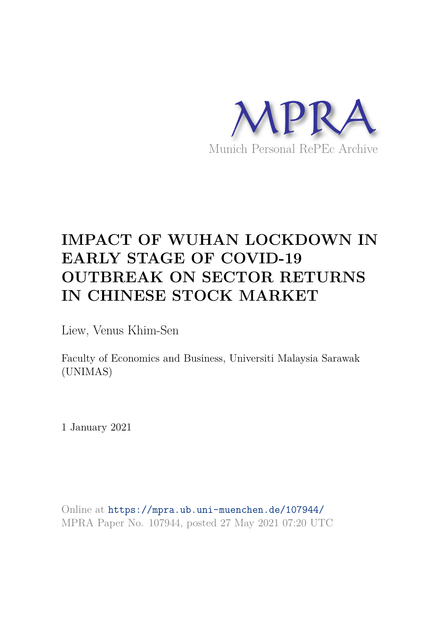

# **IMPACT OF WUHAN LOCKDOWN IN EARLY STAGE OF COVID-19 OUTBREAK ON SECTOR RETURNS IN CHINESE STOCK MARKET**

Liew, Venus Khim-Sen

Faculty of Economics and Business, Universiti Malaysia Sarawak (UNIMAS)

1 January 2021

Online at https://mpra.ub.uni-muenchen.de/107944/ MPRA Paper No. 107944, posted 27 May 2021 07:20 UTC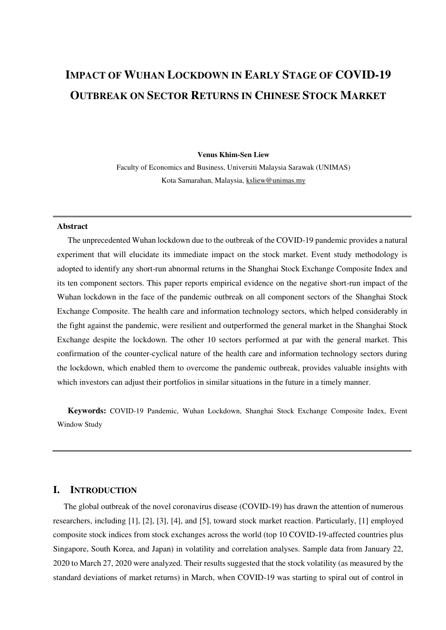## **IMPACT OF WUHAN LOCKDOWN IN EARLY STAGE OF COVID-19 OUTBREAK ON SECTOR RETURNS IN CHINESE STOCK MARKET**

#### **Venus Khim-Sen Liew**

Faculty of Economics and Business, Universiti Malaysia Sarawak (UNIMAS) Kota Samarahan, Malaysia[, ksliew@unimas.my](mailto:ksliew@unimas.my) 

### **Abstract**

The unprecedented Wuhan lockdown due to the outbreak of the COVID-19 pandemic provides a natural experiment that will elucidate its immediate impact on the stock market. Event study methodology is adopted to identify any short-run abnormal returns in the Shanghai Stock Exchange Composite Index and its ten component sectors. This paper reports empirical evidence on the negative short-run impact of the Wuhan lockdown in the face of the pandemic outbreak on all component sectors of the Shanghai Stock Exchange Composite. The health care and information technology sectors, which helped considerably in the fight against the pandemic, were resilient and outperformed the general market in the Shanghai Stock Exchange despite the lockdown. The other 10 sectors performed at par with the general market. This confirmation of the counter-cyclical nature of the health care and information technology sectors during the lockdown, which enabled them to overcome the pandemic outbreak, provides valuable insights with which investors can adjust their portfolios in similar situations in the future in a timely manner.

**Keywords:** COVID-19 Pandemic, Wuhan Lockdown, Shanghai Stock Exchange Composite Index, Event Window Study

## **I. INTRODUCTION**

The global outbreak of the novel coronavirus disease (COVID-19) has drawn the attention of numerous researchers, including [1], [2], [3], [4], and [5], toward stock market reaction. Particularly, [1] employed composite stock indices from stock exchanges across the world (top 10 COVID-19-affected countries plus Singapore, South Korea, and Japan) in volatility and correlation analyses. Sample data from January 22, 2020 to March 27, 2020 were analyzed. Their results suggested that the stock volatility (as measured by the standard deviations of market returns) in March, when COVID-19 was starting to spiral out of control in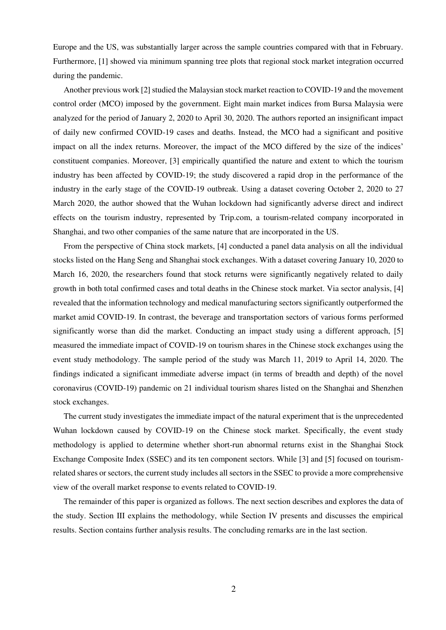Europe and the US, was substantially larger across the sample countries compared with that in February. Furthermore, [1] showed via minimum spanning tree plots that regional stock market integration occurred during the pandemic.

Another previous work [2] studied the Malaysian stock market reaction to COVID-19 and the movement control order (MCO) imposed by the government. Eight main market indices from Bursa Malaysia were analyzed for the period of January 2, 2020 to April 30, 2020. The authors reported an insignificant impact of daily new confirmed COVID-19 cases and deaths. Instead, the MCO had a significant and positive impact on all the index returns. Moreover, the impact of the MCO differed by the size of the indices' constituent companies. Moreover, [3] empirically quantified the nature and extent to which the tourism industry has been affected by COVID-19; the study discovered a rapid drop in the performance of the industry in the early stage of the COVID-19 outbreak. Using a dataset covering October 2, 2020 to 27 March 2020, the author showed that the Wuhan lockdown had significantly adverse direct and indirect effects on the tourism industry, represented by Trip.com, a tourism-related company incorporated in Shanghai, and two other companies of the same nature that are incorporated in the US.

From the perspective of China stock markets, [4] conducted a panel data analysis on all the individual stocks listed on the Hang Seng and Shanghai stock exchanges. With a dataset covering January 10, 2020 to March 16, 2020, the researchers found that stock returns were significantly negatively related to daily growth in both total confirmed cases and total deaths in the Chinese stock market. Via sector analysis, [4] revealed that the information technology and medical manufacturing sectors significantly outperformed the market amid COVID-19. In contrast, the beverage and transportation sectors of various forms performed significantly worse than did the market. Conducting an impact study using a different approach, [5] measured the immediate impact of COVID-19 on tourism shares in the Chinese stock exchanges using the event study methodology. The sample period of the study was March 11, 2019 to April 14, 2020. The findings indicated a significant immediate adverse impact (in terms of breadth and depth) of the novel coronavirus (COVID-19) pandemic on 21 individual tourism shares listed on the Shanghai and Shenzhen stock exchanges.

The current study investigates the immediate impact of the natural experiment that is the unprecedented Wuhan lockdown caused by COVID-19 on the Chinese stock market. Specifically, the event study methodology is applied to determine whether short-run abnormal returns exist in the Shanghai Stock Exchange Composite Index (SSEC) and its ten component sectors. While [3] and [5] focused on tourismrelated shares or sectors, the current study includes all sectors in the SSEC to provide a more comprehensive view of the overall market response to events related to COVID-19.

The remainder of this paper is organized as follows. The next section describes and explores the data of the study. Section III explains the methodology, while Section IV presents and discusses the empirical results. Section contains further analysis results. The concluding remarks are in the last section.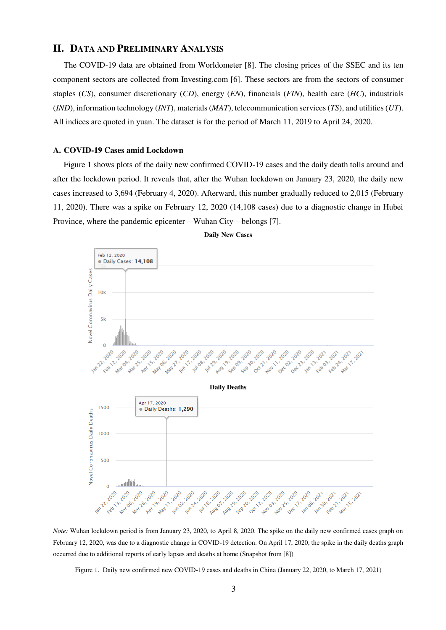## **II. DATA AND PRELIMINARY ANALYSIS**

The COVID-19 data are obtained from Worldometer [8]. The closing prices of the SSEC and its ten component sectors are collected from Investing.com [6]. These sectors are from the sectors of consumer staples (*CS*), consumer discretionary (*CD*), energy (*EN*), financials (*FIN*), health care (*HC*), industrials (*IND*), information technology (*INT*), materials (*MAT*), telecommunication services (*TS*), and utilities (*UT*). All indices are quoted in yuan. The dataset is for the period of March 11, 2019 to April 24, 2020.

#### **A. COVID-19 Cases amid Lockdown**

Figure 1 shows plots of the daily new confirmed COVID-19 cases and the daily death tolls around and after the lockdown period. It reveals that, after the Wuhan lockdown on January 23, 2020, the daily new cases increased to 3,694 (February 4, 2020). Afterward, this number gradually reduced to 2,015 (February 11, 2020). There was a spike on February 12, 2020 (14,108 cases) due to a diagnostic change in Hubei Province, where the pandemic epicenter—Wuhan City—belongs [7].



**Daily New Cases** 

*Note:* Wuhan lockdown period is from January 23, 2020, to April 8, 2020. The spike on the daily new confirmed cases graph on February 12, 2020, was due to a diagnostic change in COVID-19 detection. On April 17, 2020, the spike in the daily deaths graph occurred due to additional reports of early lapses and deaths at home (Snapshot from [8])

Figure 1. Daily new confirmed new COVID-19 cases and deaths in China (January 22, 2020, to March 17, 2021)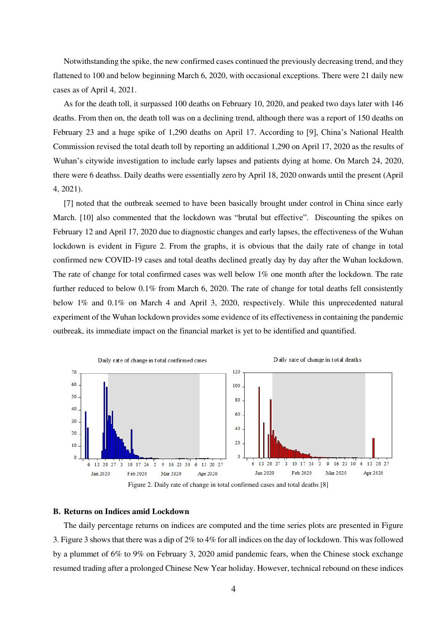Notwithstanding the spike, the new confirmed cases continued the previously decreasing trend, and they flattened to 100 and below beginning March 6, 2020, with occasional exceptions. There were 21 daily new cases as of April 4, 2021.

As for the death toll, it surpassed 100 deaths on February 10, 2020, and peaked two days later with 146 deaths. From then on, the death toll was on a declining trend, although there was a report of 150 deaths on February 23 and a huge spike of 1,290 deaths on April 17. According to [9], China's National Health Commission revised the total death toll by reporting an additional 1,290 on April 17, 2020 as the results of Wuhan's citywide investigation to include early lapses and patients dying at home. On March 24, 2020, there were 6 deathss. Daily deaths were essentially zero by April 18, 2020 onwards until the present (April 4, 2021).

[7] noted that the outbreak seemed to have been basically brought under control in China since early March. [10] also commented that the lockdown was "brutal but effective". Discounting the spikes on February 12 and April 17, 2020 due to diagnostic changes and early lapses, the effectiveness of the Wuhan lockdown is evident in Figure 2. From the graphs, it is obvious that the daily rate of change in total confirmed new COVID-19 cases and total deaths declined greatly day by day after the Wuhan lockdown. The rate of change for total confirmed cases was well below 1% one month after the lockdown. The rate further reduced to below 0.1% from March 6, 2020. The rate of change for total deaths fell consistently below 1% and 0.1% on March 4 and April 3, 2020, respectively. While this unprecedented natural experiment of the Wuhan lockdown provides some evidence of its effectiveness in containing the pandemic outbreak, its immediate impact on the financial market is yet to be identified and quantified.



### **B. Returns on Indices amid Lockdown**

The daily percentage returns on indices are computed and the time series plots are presented in Figure 3. Figure 3 shows that there was a dip of 2% to 4% for all indices on the day of lockdown. This was followed by a plummet of 6% to 9% on February 3, 2020 amid pandemic fears, when the Chinese stock exchange resumed trading after a prolonged Chinese New Year holiday. However, technical rebound on these indices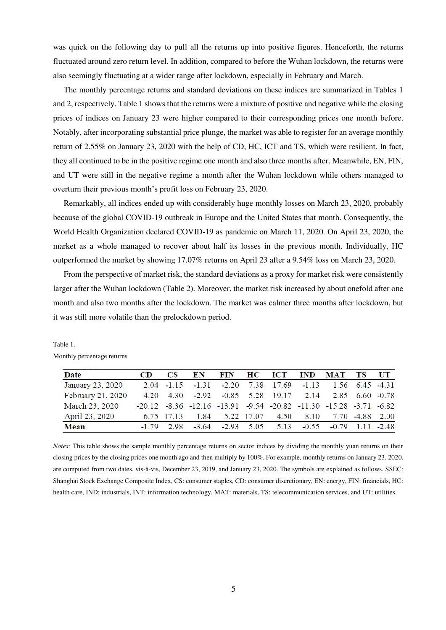was quick on the following day to pull all the returns up into positive figures. Henceforth, the returns fluctuated around zero return level. In addition, compared to before the Wuhan lockdown, the returns were also seemingly fluctuating at a wider range after lockdown, especially in February and March.

The monthly percentage returns and standard deviations on these indices are summarized in Tables 1 and 2, respectively. Table 1 shows that the returns were a mixture of positive and negative while the closing prices of indices on January 23 were higher compared to their corresponding prices one month before. Notably, after incorporating substantial price plunge, the market was able to register for an average monthly return of 2.55% on January 23, 2020 with the help of CD, HC, ICT and TS, which were resilient. In fact, they all continued to be in the positive regime one month and also three months after. Meanwhile, EN, FIN, and UT were still in the negative regime a month after the Wuhan lockdown while others managed to overturn their previous month's profit loss on February 23, 2020.

Remarkably, all indices ended up with considerably huge monthly losses on March 23, 2020, probably because of the global COVID-19 outbreak in Europe and the United States that month. Consequently, the World Health Organization declared COVID-19 as pandemic on March 11, 2020. On April 23, 2020, the market as a whole managed to recover about half its losses in the previous month. Individually, HC outperformed the market by showing 17.07% returns on April 23 after a 9.54% loss on March 23, 2020.

From the perspective of market risk, the standard deviations as a proxy for market risk were consistently larger after the Wuhan lockdown (Table 2). Moreover, the market risk increased by about onefold after one month and also two months after the lockdown. The market was calmer three months after lockdown, but it was still more volatile than the prelockdown period.

| Date              | CD. | CS.        | EN |                                                                                       |  | FIN HC ICT IND MAT TS UT                                                    |  |
|-------------------|-----|------------|----|---------------------------------------------------------------------------------------|--|-----------------------------------------------------------------------------|--|
| January 23, 2020  |     |            |    | 2.04 -1.15 -1.31 -2.20 7.38 17.69 -1.13 1.56 6.45 -4.31                               |  |                                                                             |  |
| February 21, 2020 |     |            |    | 4.20 4.30 -2.92 -0.85 5.28 19.17 2.14 2.85 6.60 -0.78                                 |  |                                                                             |  |
| March 23, 2020    |     |            |    | $-20.12$ $-8.36$ $-12.16$ $-13.91$ $-9.54$ $-20.82$ $-11.30$ $-15.28$ $-3.71$ $-6.82$ |  |                                                                             |  |
| April 23, 2020    |     | 6.75 17.13 |    | 1.84 5.22 17.07 4.50 8.10 7.70 -4.88 2.00                                             |  |                                                                             |  |
| Mean              |     |            |    |                                                                                       |  | $-1.79$ $2.98$ $-3.64$ $-2.93$ $5.05$ $5.13$ $-0.55$ $-0.79$ $1.11$ $-2.48$ |  |

Table 1. Monthly percentage returns

*Notes:* This table shows the sample monthly percentage returns on sector indices by dividing the monthly yuan returns on their closing prices by the closing prices one month ago and then multiply by 100%. For example, monthly returns on January 23, 2020, are computed from two dates, vis-à-vis, December 23, 2019, and January 23, 2020. The symbols are explained as follows. SSEC: Shanghai Stock Exchange Composite Index, CS: consumer staples, CD: consumer discretionary, EN: energy, FIN: financials, HC: health care, IND: industrials, INT: information technology, MAT: materials, TS: telecommunication services, and UT: utilities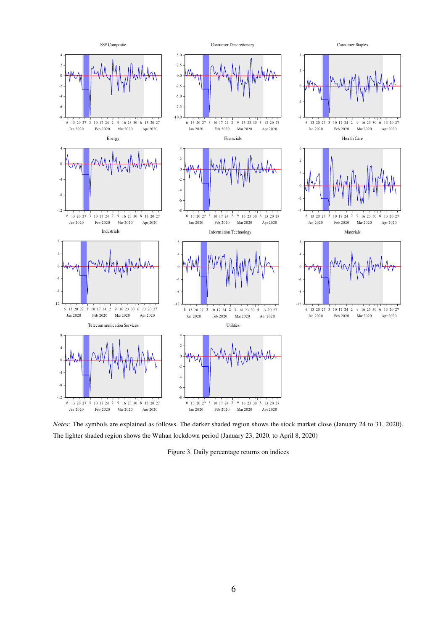

*Notes:* The symbols are explained as follows. The darker shaded region shows the stock market close (January 24 to 31, 2020). The lighter shaded region shows the Wuhan lockdown period (January 23, 2020, to April 8, 2020)

Figure 3. Daily percentage returns on indices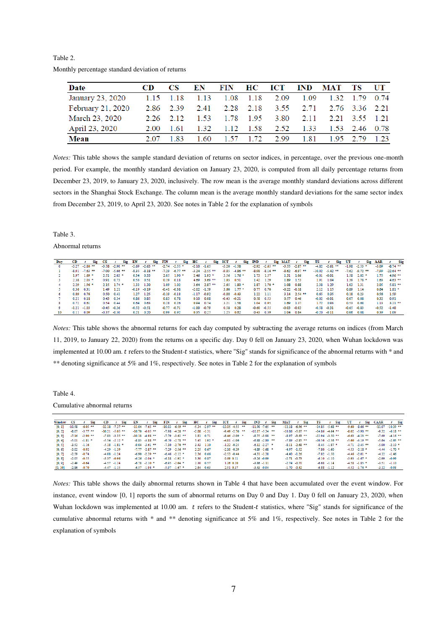| Date              | CD   | CS.       | EN    |  |                          |      | FIN HC ICT IND MAT TS UT                |                |  |
|-------------------|------|-----------|-------|--|--------------------------|------|-----------------------------------------|----------------|--|
| January 23, 2020  |      | 1.15 1.18 | 1.13  |  | 1.08 1.18 2.09           | 1.09 |                                         | 1.32 1.79 0.74 |  |
| February 21, 2020 |      | 2.86 2.39 | 2.41  |  |                          |      | 2.28 2.18 3.55 2.71 2.76 3.36 2.21      |                |  |
| March 23, 2020    |      | 2.26 2.12 |       |  |                          |      | 1.53 1.78 1.95 3.80 2.11 2.21 3.55 1.21 |                |  |
| April 23, 2020    | 2.00 | 1.61      |       |  | 1.32 1.12 1.58 2.52 1.33 |      |                                         | 1.53 2.46 0.78 |  |
| <b>Mean</b>       | 2.07 |           | 1.60. |  | 1.57 1.72 2.99           | 1.81 |                                         | 1.95 2.79 1.23 |  |

Table 2. Monthly percentage standard deviation of returns

*Notes:* This table shows the sample standard deviation of returns on sector indices, in percentage, over the previous one-month period. For example, the monthly standard deviation on January 23, 2020, is computed from all daily percentage returns from December 23, 2019, to January 23, 2020, inclusively. The row mean is the average monthly standard deviations across different sectors in the Shanghai Stock Exchange. The column mean is the average monthly standard deviations for the same sector index from December 23, 2019, to April 23, 2020. See notes in Table 2 for the explanation of symbols

#### Table 3.

#### Abnormal returns

| Dav          | CD                |                   | $\text{Si}z$ CS $\textit{t}$ | Sig               | EN      | $\mathbf{r}$      | $\text{Sig}$ FIN $t$ |                      | $\text{Sig } \text{HC }$ t |                    | $\text{Sig }$ ICT $t$ |                    | $\text{Sig}$ IND $t$ |                   | $Sig$ MAT $t$ |                   | Sig TS | $\mathbf{r}$      | Sig UT | $\mathbf{r}$      | Sig AAR | t Sig            |
|--------------|-------------------|-------------------|------------------------------|-------------------|---------|-------------------|----------------------|----------------------|----------------------------|--------------------|-----------------------|--------------------|----------------------|-------------------|---------------|-------------------|--------|-------------------|--------|-------------------|---------|------------------|
| $\mathbf{o}$ |                   | $-3.27 -2.80$ **  |                              | $-3.58 - 2.90$ ** | $-2.69$ | $-2.63$ **        |                      | $-2.74$ $-2.55$ $^*$ |                            | $-2.10 - 1.65$     |                       | $-3.20 -1.58$      |                      | $-2.92 - 2.65$ ** |               | $-3.55 - 2.87$ ** |        | $-4.82 - 2.61$ ** |        | $-1.98 - 2.53$ *  | $-3.09$ | $-8.74$ **       |
|              |                   | $-8.91 - 7.63$ ** |                              | $-7.00 - 5.66$ ** |         | $-8.35 - 8.18$ ** |                      | $-7.29 -6.77$ **     |                            | $-3.24$ $-2.55$ ** |                       | $-9.85$ $-4.86$ ** |                      | $-8.98 - 8.16$ ** |               | $-8.62 - 6.97$ ** |        | $-10.02 -5.42$ ** |        | $-7.62 - 0.72$ ** | $-7.00$ | $-22.64$ **      |
|              |                   | $1.97$ 1.69 $*$   |                              | $2.51$ $2.03$ *   | 0.34    | 0.33              |                      | $2.05$ 1.90 $*$      |                            | $2.46$ 1.93 $*$    |                       | $3.56$ 1.76 $*$    |                      | 1.73 1.57         |               | 1.31 1.06         |        | $-0.01 - 0.01$    | 1.58   | $2.02$ $\bullet$  | 1.75    | $4.96$ **        |
|              |                   | $2.38$ $2.03$ *   |                              | $0.91$ 0.73       |         | 0.53 0.51         |                      | $0.19$ $0.18$        |                            | $4.69$ $3.69$ **   |                       | $1.03$ 0.51        |                      | 1.42 1.29         |               | 1.89 1.53         |        | 1.91 1.04         |        | $1.39$ $1.78$ *   | 1.63    | $4.63$ **        |
|              |                   | $2.29$ 1.96 $*$   |                              | $2.15$ 1.74 $*$   |         | 1.33 1.30         | 1.09                 | 1.02                 |                            | $3.64$ 2.87 **     |                       | $3.65$ 1.80 $*$    |                      | $1.87$ 1.70 $*$   |               | 1.08 0.88         |        | 2.38 1.29         | 1.03   | 1.31              | 2.05    | $5.81$ **        |
|              |                   | $0.36$ $0.31$     |                              | 1.49 1.21         |         | $-0.19 - 0.19$    |                      | $-0.41 - 0.38$       |                            | $-2.02 - 1.59$     |                       | 3.60 $1.77$ *      |                      | $0.77$ 0.70       |               | $-0.22 -0.18$     |        | 2.12 1.15         |        | $0.89$ 1.14       | 0.64    | $1.81$ $*$       |
| 6            |                   | $0.89$ $0.76$     |                              | 0.50 0.41         |         | 1.27 1.25         |                      | $-0.19 - 0.18$       |                            | $-1.17 - 0.92$     |                       | $-0.88 - 0.43$     |                      | 1.22 1.11         |               | $3.14$ $2.54$ **  |        | 0.650035          |        | $0.18$ $0.23$     |         | 0.56 1.59        |
|              |                   | $0.21$ $0.18$     |                              | $0.43$ 0.34       |         | 0.86 0.85         |                      | 0.83 0.78            |                            | $0.10 \ 0.08$      |                       | $-0.43 -0.21$      |                      | 0.58 0.53         |               | 0.57 0.46         |        | $-0.02 - 0.01$    |        | 0.07 0.08         | 0.32    | 0.91             |
| 8            |                   | $0.72$ $0.61$     |                              | 0.54 0.44         |         | $0.64$ 0.63       |                      | $0.28$ 0.26          |                            | 0.94 0.74          |                       | 3.21 1.58          |                      | 1.04 0.95         |               | $1.69$ 1.37       | 1.72   | 0.93              |        | $0.53$ 0.68       |         | $1.13$ $3.21$ ** |
| $\bullet$    | $-1.21 -1.03$     |                   |                              | $-0.45 - 0.36$    |         | $-0.52 -0.51$     |                      | $-0.77 - 0.71$       |                            | $-1.00 - 0.79$     |                       | $0.58$ 0.28        |                      | $-0.60 - 0.55$    |               | $-0.03 - 0.03$    |        | $-0.58 - 0.31$    |        | $-0.65 -0.83$     |         | $-0.52 -1.48$    |
| 10           | $0.11 \quad 0.09$ |                   |                              | $-0.37 -0.30$     |         | $0.21$ 0.20       |                      | 0.99 0.92            |                            | $0.35$ 0.27        |                       | $1.25$ 0.62        |                      | 0.43 0.39         |               | $1.04$ 0.84       |        | $-0.20 - 0.11$    |        | $0.06$ 0.08       | 0.39    | 1.09             |

*Notes:* This table shows the abnormal returns for each day computed by subtracting the average returns on indices (from March 11, 2019, to January 22, 2020) from the returns on a specific day. Day 0 fell on January 23, 2020, when Wuhan lockdown was implemented at 10.00 am.  $t$  refers to the Student- $t$  statistics, where "Sig" stands for significance of the abnormal returns with  $*$  and \*\* denoting significance at 5% and 1%, respectively. See notes in Table 2 for the explanation of symbols

#### Table 4.

#### Cumulative abnormal returns

| Window         | CS             | Sig               | Sig<br>CD          | ΕN<br>Sig           | FIN<br>Sig<br>$\mathbf{r}$ | нс<br>Sig<br>$\mathbf{r}$ | ICT<br>Sig         | <b>IND</b><br>Sig<br>$\mathbf{r}$ | MAT<br>Sig         | тs<br>Sig           | UT<br>Sig         | <b>CAAR</b><br><b>Sig</b> |
|----------------|----------------|-------------------|--------------------|---------------------|----------------------------|---------------------------|--------------------|-----------------------------------|--------------------|---------------------|-------------------|---------------------------|
| [0, 1]         | $-10.58$       | $-6.05$ **        | $-12.18 - 7.37$ ** | $-11.04 - 7.65$ **  | $-10.03 - 6.59$ **         | $-5.34 - 2.97$ **         | $-13.05 - 4.55$ ** | $-11.90 - 7.65$ **                | $-12.18 - 6.96$ ** | $-14.85 - 5.68$ **  | $-9.60 - 8.66$ ** | $-11.07 - 10.39$ **       |
| [0, 2]         | $-8.07$        | $-3.77$ **        | $-10.21 - 5.05$ ** | $-10.70 - 6.05$ **  | $-7.98$ $-4.28$ **         | $-2.88 - 1.31$            | $-9.49 - 2.70$ **  | $-10.17 - 5.34$ **                | $-10.86 - 5.07$ ** | $-14.86$ $-4.64$ ** | $-8.02 - 5.90$ ** | $-9.32 - 6.18$ **         |
| [0, 3]         |                | $-7.16 - 2.90$ ** | $-7.83 - 3.35$ **  | $-10.18$ $-4.98$ ** | $-7.79 - 3.62$ **          | 1.81 0.71                 | $-8.46 - 2.09$ *   | $-8.75 - 3.98$ **                 | $-8.97 - 3.63$ **  | $-12.94 - 3.50$ **  | $-6.63 - 4.23$ ** | $-7.69$ $-4.16$ **        |
| [0, 4]         |                | $-5.01 -1.81$ *   | $-5.54 - 2.12$ *   | $-8.85 - 3.88$ **   | $-6.70 - 2.78$ **          | $5.45$ 1.92 $*$           | $-4.81 - 1.06$     | $-6.88 - 2.80$ **                 | $-7.89 - 2.85$ **  | $-10.56 - 2.56$ **  | $-5.60 - 3.19$ ** | $-5.64 - 2.65$ **         |
| [0, 5]         |                | $-3.52 -1.16$     | $-5.18 - 1.81$ *   | $-9.04 - 3.61$ **   | $-7.10 - 2.70$ **          | $3.43$ 1.10               | $-1.22 - 0.25$     | $-6.12 - 2.27$ *                  | $-8.11 - 2.68$ **  | $-8.45 - 1.87$ *    | $-4.71 - 2.45$ ** | $-5.00 -2.10$ *           |
| [0, 6]         |                | $-3.02 -0.92$     | $-4.29 - 1.39$     | $-7.77 - 2.87$ **   | $-7.29 - 2.56$ **          | 2.25 0.67                 | $-2.10 - 0.39$     | $-4.89 - 1.68$ *                  | $-4.97 -1.52$      | $-7.80 - 1.60$      | $-4.53 - 2.18$ *  | $-4.44 - 1.70$ *          |
| [0, 7]         | $-2.59 - 0.74$ |                   | $-4.08 - 1.24$     | $-6.90 - 2.39$ **   | $-6.46 - 2.12$ *           | 2.36 0.66                 | $-2.53 - 0.44$     | $-4.31 - 1.38$                    | $-4.40 - 1.26$     | $-7.82 - 1.50$      | $-4.46 - 2.01$ *  | $-4.12 -1.46$             |
| [0, 8]         | $-2.05$        | $-0.55$           | $-3.37 - 0.96$     | $-6.26 -2.04$ *     | $-6.18 - 1.92$ *           | 3.30 0.87                 | $0.69$ $0.11$      | $-3.26 - 0.99$                    | $-2.71 - 0.73$     | $-6.10 - 1.10$      | $-3.93 - 1.67$ *  | $-2.99 - 0.99$            |
| [0, 9]         | $-2.49 - 0.64$ |                   | $-4.57 -1.24$      | $-6.78 - 2.10$ *    | $-6.95 - 2.04$ *           | 2.30 0.57                 | 1.26 0.20          | $-3.86 - 1.11$                    | $-2.74 - 0.70$     | $-6.68 - 1.14$      | $-4.58 - 1.85$ *  | $-3.51 -1.10$             |
| <b>FO. 101</b> | $-2.86 - 0.70$ |                   | $-4.47 -1.15$      | $-6.57 - 1.94$ *    | $-5.97 - 1.67$ *           | 2.64 0.63                 | 2.51 0.37          | $-3.43 - 0.94$                    | $-1.70 - 0.42$     | $-6.88 - 1.12$      | $-4.52 - 1.74$ *  | $-3.12 - 0.93$            |

*Notes:* This table shows the daily abnormal returns shown in Table 4 that have been accumulated over the event window. For instance, event window [0, 1] reports the sum of abnormal returns on Day 0 and Day 1. Day 0 fell on January 23, 2020, when Wuhan lockdown was implemented at 10.00 am.  $t$  refers to the Student- $t$  statistics, where "Sig" stands for significance of the cumulative abnormal returns with \* and \*\* denoting significance at 5% and 1%, respectively. See notes in Table 2 for the explanation of symbols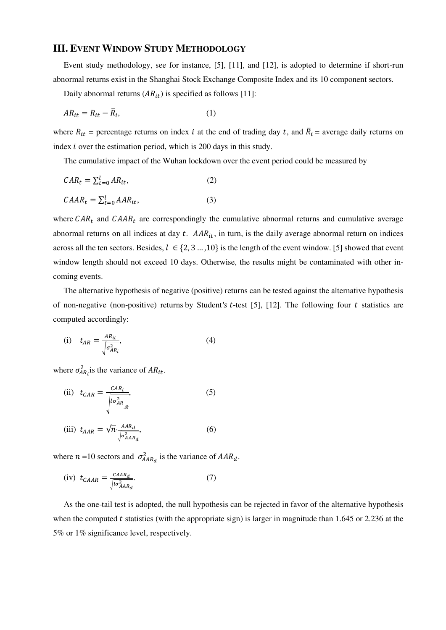## **III. EVENT WINDOW STUDY METHODOLOGY**

Event study methodology, see for instance, [5], [11], and [12], is adopted to determine if short-run abnormal returns exist in the Shanghai Stock Exchange Composite Index and its 10 component sectors.

Daily abnormal returns  $(AR_{it})$  is specified as follows [11]:

$$
AR_{it} = R_{it} - \bar{R}_i,\tag{1}
$$

where  $R_{it}$  = percentage returns on index *i* at the end of trading day *t*, and  $R_i$  = average daily returns on index  $i$  over the estimation period, which is 200 days in this study.

The cumulative impact of the Wuhan lockdown over the event period could be measured by

$$
CAR_t = \sum_{t=0}^{t} AR_{it},
$$
\n<sup>(2)</sup>

$$
CAR_t = \sum_{t=0}^{t} AAR_{it},
$$
\n(3)

where  $CAR_t$  and  $CAR_t$  are correspondingly the cumulative abnormal returns and cumulative average abnormal returns on all indices at day  $t$ .  $AAR_{it}$ , in turn, is the daily average abnormal return on indices across all the ten sectors. Besides,  $l \in \{2, 3, ..., 10\}$  is the length of the event window. [5] showed that event window length should not exceed 10 days. Otherwise, the results might be contaminated with other incoming events.

The alternative hypothesis of negative (positive) returns can be tested against the alternative hypothesis of non-negative (non-positive) returns by Student's t-test [5], [12]. The following four t statistics are computed accordingly:

$$
(i) \t t_{AR} = \frac{AR_{it}}{\sqrt{\sigma_{AR_i}^2}}, \t(4)
$$

where  $\sigma_{AR_i}^2$  is the variance of  $AR_{it}$ .

(ii) 
$$
t_{CAR} = \frac{c_{AR_i}}{\sqrt{\log_{AR}_{\mathcal{R}}}}\tag{5}
$$

(iii) 
$$
t_{AAR} = \sqrt{n} \frac{AAR_d}{\sqrt{\sigma_{AAR_d}^2}},
$$
 (6)

where  $n = 10$  sectors and  $\sigma_{AAR_d}^2$  is the variance of  $AAR_d$ .

(iv) 
$$
t_{CAAA} = \frac{c_{AAR_d}}{\sqrt{\log_{AAR_d}^2}}.\tag{7}
$$

As the one-tail test is adopted, the null hypothesis can be rejected in favor of the alternative hypothesis when the computed  $t$  statistics (with the appropriate sign) is larger in magnitude than 1.645 or 2.236 at the 5% or 1% significance level, respectively.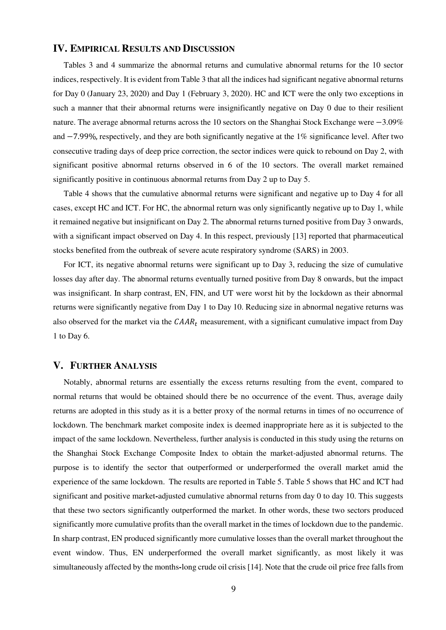## **IV. EMPIRICAL RESULTS AND DISCUSSION**

Tables 3 and 4 summarize the abnormal returns and cumulative abnormal returns for the 10 sector indices, respectively. It is evident from Table 3 that all the indices had significant negative abnormal returns for Day 0 (January 23, 2020) and Day 1 (February 3, 2020). HC and ICT were the only two exceptions in such a manner that their abnormal returns were insignificantly negative on Day 0 due to their resilient nature. The average abnormal returns across the 10 sectors on the Shanghai Stock Exchange were −3.09% and −7.99%, respectively, and they are both significantly negative at the 1% significance level. After two consecutive trading days of deep price correction, the sector indices were quick to rebound on Day 2, with significant positive abnormal returns observed in 6 of the 10 sectors. The overall market remained significantly positive in continuous abnormal returns from Day 2 up to Day 5.

Table 4 shows that the cumulative abnormal returns were significant and negative up to Day 4 for all cases, except HC and ICT. For HC, the abnormal return was only significantly negative up to Day 1, while it remained negative but insignificant on Day 2. The abnormal returns turned positive from Day 3 onwards, with a significant impact observed on Day 4. In this respect, previously [13] reported that pharmaceutical stocks benefited from the outbreak of severe acute respiratory syndrome (SARS) in 2003.

For ICT, its negative abnormal returns were significant up to Day 3, reducing the size of cumulative losses day after day. The abnormal returns eventually turned positive from Day 8 onwards, but the impact was insignificant. In sharp contrast, EN, FIN, and UT were worst hit by the lockdown as their abnormal returns were significantly negative from Day 1 to Day 10. Reducing size in abnormal negative returns was also observed for the market via the  $\mathit{CAR}_t$  measurement, with a significant cumulative impact from Day 1 to Day 6.

## **V. FURTHER ANALYSIS**

Notably, abnormal returns are essentially the excess returns resulting from the event, compared to normal returns that would be obtained should there be no occurrence of the event. Thus, average daily returns are adopted in this study as it is a better proxy of the normal returns in times of no occurrence of lockdown. The benchmark market composite index is deemed inappropriate here as it is subjected to the impact of the same lockdown. Nevertheless, further analysis is conducted in this study using the returns on the Shanghai Stock Exchange Composite Index to obtain the market-adjusted abnormal returns. The purpose is to identify the sector that outperformed or underperformed the overall market amid the experience of the same lockdown. The results are reported in Table 5. Table 5 shows that HC and ICT had significant and positive market**-**adjusted cumulative abnormal returns from day 0 to day 10. This suggests that these two sectors significantly outperformed the market. In other words, these two sectors produced significantly more cumulative profits than the overall market in the times of lockdown due to the pandemic. In sharp contrast, EN produced significantly more cumulative losses than the overall market throughout the event window. Thus, EN underperformed the overall market significantly, as most likely it was simultaneously affected by the months**-**long crude oil crisis [14]. Note that the crude oil price free falls from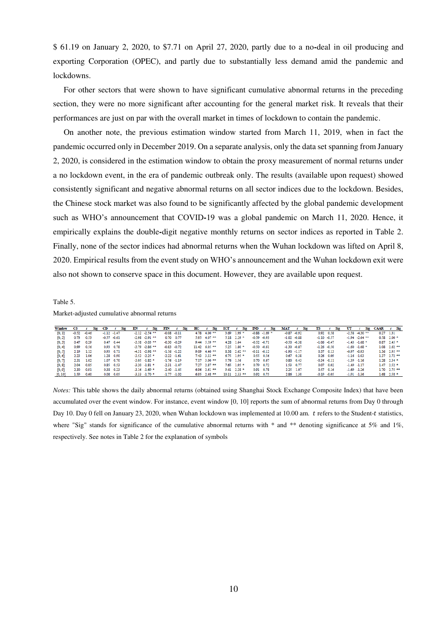\$ 61.19 on January 2, 2020, to \$7.71 on April 27, 2020, partly due to a no**-**deal in oil producing and exporting Corporation (OPEC), and partly due to substantially less demand amid the pandemic and lockdowns.

For other sectors that were shown to have significant cumulative abnormal returns in the preceding section, they were no more significant after accounting for the general market risk. It reveals that their performances are just on par with the overall market in times of lockdown to contain the pandemic.

On another note, the previous estimation window started from March 11, 2019, when in fact the pandemic occurred only in December 2019. On a separate analysis, only the data set spanning from January 2, 2020, is considered in the estimation window to obtain the proxy measurement of normal returns under a no lockdown event, in the era of pandemic outbreak only. The results (available upon request) showed consistently significant and negative abnormal returns on all sector indices due to the lockdown. Besides, the Chinese stock market was also found to be significantly affected by the global pandemic development such as WHO's announcement that COVID**-**19 was a global pandemic on March 11, 2020. Hence, it empirically explains the double**-**digit negative monthly returns on sector indices as reported in Table 2. Finally, none of the sector indices had abnormal returns when the Wuhan lockdown was lifted on April 8, 2020. Empirical results from the event study on WHO's announcement and the Wuhan lockdown exit were also not shown to conserve space in this document. However, they are available upon request.

Table 5.

Market-adjusted cumulative abnormal returns

| <b>Window</b> | CS      | Sig       | CD<br><b>Sig</b> | EN<br><b>Sig</b>  | FIN<br>Sig     | нс<br>Sig        | ІСТ<br><b>Sig</b>   | <b>IND</b><br>Sig | MAT<br>Sig        | TS<br><b>Sig</b> | UT<br>Sig          | <b>CAAR</b><br><b>Sig</b> |
|---------------|---------|-----------|------------------|-------------------|----------------|------------------|---------------------|-------------------|-------------------|------------------|--------------------|---------------------------|
| [0, 1]        | $-0.52$ | $-0.46$   | $-1.12 - 1.47$   | $-2.12 - 2.54$ ** | $-0.08 - 0.11$ | $4.78$ $4.00$ ** | 3.69<br>$1.99 -$    | $-0.88 - 1.69$ *  | $-0.87 - 0.92$    | $0.92$ 0.58      | $-2.58$ $-4.30$ ** | $0.27$ 1.31               |
| [0, 2]        | 0.73    | 0.53      | $-0.57 - 0.61$   | $-2.98 - 2.91$ ** | $0.70$ $0.77$  | $5.95$ 4.07 **   | $5.18$ $2.29$ *     | $-0.59 - 0.93$    | $-1.02 -0.88$     | $-1.10 - 0.57$   | $-1.94 - 2.64$ **  | $0.58$ 2.00 $*$           |
| [0, 3]        | 0.47    | 0.29      | $0.47$ 0.44      | $-3.58 - 3.03$ ** | $-0.30 -0.29$  | $9.44$ 5.59 **   | 4.28 1.64           | $-0.52 - 0.71$    | $-0.50 - 0.38$    | $-1.06 - 0.47$   | $-1.43 - 1.68$ *   | $0.87$ 2.45 $*$           |
| [0, 4]        | 0.99    | 0.56      | 0.93 0.78        | $-3.79 - 2.86$ ** | $-0.83 - 0.72$ | $11.42$ 6.05 **  | $5.25$ 1.80 $*$     | $-0.50 - 0.61$    | $-1.30 - 0.87$    | $-1.26 - 0.50$   | $-1.60 - 1.68$ *   | $1.08$ $2.62$ **          |
| [0, 5]        |         | 2.19 1.12 | $0.93$ 0.71      | $-4.31 - 2.98$ ** | $-1.56 - 1.22$ | $9.09$ 4.40 **   | $8.38$ $2.62$ **    | $-0.11 - 0.12$    | $-1.90 -1.17$     | $0.37$ 0.13      | $-0.97 - 0.93$     | 1.36 2.95 **              |
| [0, 6]        | 2.23    | 1.06      | 1.28 0.90        | $-3.53 - 2.25$ *  | $-2.22 - 1.61$ | $7.43$ 3.33 **   | $6.75$ 1.95 $*$     | 0.55 0.56         | $0.67$ 0.38       | $0.26$ 0.09      | $-1.16 - 1.03$     | $1.37$ $2.72$ **          |
| [0, 7]        | 2.31    | 1.02      | 1.07 0.70        | $-3.05 - 1.82$ *  | $-1.76 - 1.19$ | $7.17$ 3.00 **   | 5.76 1.56           | $0.70 \quad 0.67$ | $0.80 \quad 0.43$ | $-0.34 -0.11$    | $-1.39 - 1.16$     | $1.28$ 2.34 $*$           |
| [0, 8]        | 2.04    | 0.85      | $0.85$ 0.53      | $-3.20 - 1.81$ *  | $-2.31 - 1.47$ | $7.27$ $2.87$ ** | $7.65$ 1.95 $*$     | 0.79 0.72         | 1.53 0.77         | $0.07$ 0.02      | $-1.49 - 1.17$     | $1.47 \quad 2.52$ *       |
| [0, 9]        | 2.30    | 0.91      | 0.38 0.23        | $-3.16 - 1.69$ *  | $-2.40 - 1.45$ | $6.96$ $2.61$ ** | $9.41 \quad 2.28$ * | 0.91 0.78         | 2.25 1.07         | $0.57$ 0.16      | $-1.69 - 1.26$     | $1.70$ $2.75$ **          |
| [0, 10]       | 1.59    | 0.60      | $0.08$ 0.05      | $-3.33 - 1.70$ *  | $-1.77 - 1.02$ | $6.95$ 2.48 **   | $10.11$ $2.33$ **   | 0.92 0.75         | 2.86 1.30         | $-0.19 - 0.05$   | $-1.91 - 1.36$     | $1.68$ 2.58 $*$           |

*Notes:* This table shows the daily abnormal returns (obtained using Shanghai Stock Exchange Composite Index) that have been accumulated over the event window. For instance, event window [0, 10] reports the sum of abnormal returns from Day 0 through Day 10. Day 0 fell on January 23, 2020, when Wuhan lockdown was implemented at 10.00 am.  $t$  refers to the Student- $t$  statistics, where "Sig" stands for significance of the cumulative abnormal returns with \* and \*\* denoting significance at 5% and 1%, respectively. See notes in Table 2 for the explanation of symbols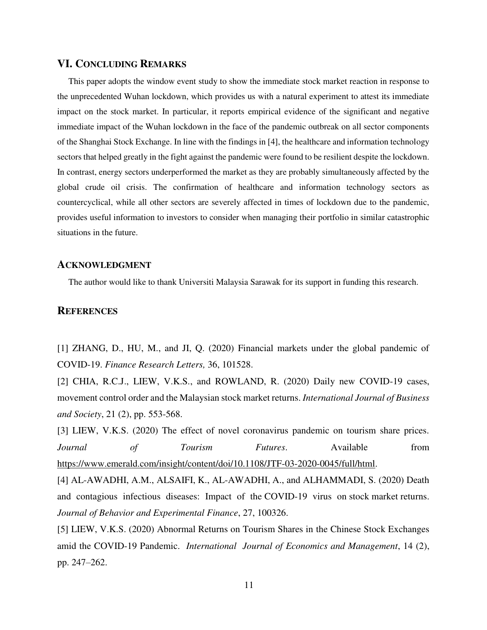## **VI. CONCLUDING REMARKS**

This paper adopts the window event study to show the immediate stock market reaction in response to the unprecedented Wuhan lockdown, which provides us with a natural experiment to attest its immediate impact on the stock market. In particular, it reports empirical evidence of the significant and negative immediate impact of the Wuhan lockdown in the face of the pandemic outbreak on all sector components of the Shanghai Stock Exchange. In line with the findings in [4], the healthcare and information technology sectors that helped greatly in the fight against the pandemic were found to be resilient despite the lockdown. In contrast, energy sectors underperformed the market as they are probably simultaneously affected by the global crude oil crisis. The confirmation of healthcare and information technology sectors as countercyclical, while all other sectors are severely affected in times of lockdown due to the pandemic, provides useful information to investors to consider when managing their portfolio in similar catastrophic situations in the future.

## **ACKNOWLEDGMENT**

The author would like to thank Universiti Malaysia Sarawak for its support in funding this research.

## **REFERENCES**

[1] ZHANG, D., HU, M., and JI, Q. (2020) Financial markets under the global pandemic of COVID-19. *Finance Research Letters,* 36, 101528.

[2] CHIA, R.C.J., LIEW, V.K.S., and ROWLAND, R. (2020) Daily new COVID-19 cases, movement control order and the Malaysian stock market returns. *International Journal of Business and Society*, 21 (2), pp. 553-568.

[3] LIEW, V.K.S. (2020) The effect of novel coronavirus pandemic on tourism share prices. *Journal of Tourism Futures*. Available from [https://www.emerald.com/insight/content/doi/10.1108/JTF-03-2020-0045/full/html.](https://www.emerald.com/insight/content/doi/10.1108/JTF-03-2020-0045/full/html)

[4] AL-AWADHI, A.M., ALSAIFI, K., AL-AWADHI, A., and ALHAMMADI, S. (2020) Death and contagious infectious diseases: Impact of the COVID-19 virus on stock market returns. *Journal of Behavior and Experimental Finance*, 27, 100326.

[5] LIEW, V.K.S. (2020) Abnormal Returns on Tourism Shares in the Chinese Stock Exchanges amid the COVID-19 Pandemic. *International Journal of Economics and Management*, 14 (2), pp. 247–262.